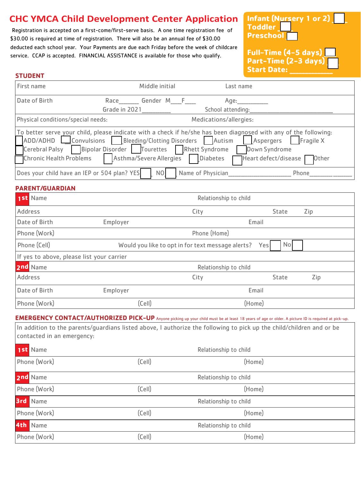# **CHC YMCA Child Development Center Application**

Registration is accepted on a first-come/first-serve basis. A one time registration fee of \$30.00 is required at time of registration. There will also be an annual fee of \$30.00 deducted each school year. Your Payments are due each Friday before the week of childcare service. CCAP is accepted. FINANCIAL ASSISTANCE is available for those who qualify.

**Infant (Nursery 1 or 2) Toddler Preschool** Full-Time  $(4-5 \text{ days})$ 

| Part-Time (2-3 days) <mark>_</mark><br>Start Date: |  |  |
|----------------------------------------------------|--|--|
| <b>Start Date:</b>                                 |  |  |

| ۰. |  |  |
|----|--|--|

| First name                                                                                                                                                           | Middle initial                                                                                                                                          | Last name                                         |                                       |                    |
|----------------------------------------------------------------------------------------------------------------------------------------------------------------------|---------------------------------------------------------------------------------------------------------------------------------------------------------|---------------------------------------------------|---------------------------------------|--------------------|
| Date of Birth                                                                                                                                                        | Race _______ Gender M____F ___<br>Grade in 2021                                                                                                         | Age:<br>School attending:                         |                                       |                    |
| Physical conditions/special needs:                                                                                                                                   |                                                                                                                                                         | Medications/allergies:                            |                                       |                    |
| To better serve your child, please indicate with a check if he/she has been diagnosed with any of the following:<br>Cerebral Palsy<br><b>Chronic Health Problems</b> | ADD/ADHD Convulsions Bleeding/Clotting Disorders Autism LAspergers<br>Bipolar Disorder   Tourettes   Rhett Syndrome<br>Asthma/Severe Allergies Diabetes |                                                   | Down Syndrome<br>Heart defect/disease | Fragile X<br>Other |
| Does your child have an IEP or 504 plan? YES                                                                                                                         | N <sub>O</sub>                                                                                                                                          | Name of Physician                                 |                                       | Phone              |
| <b>PARENT/GUARDIAN</b>                                                                                                                                               |                                                                                                                                                         |                                                   |                                       |                    |
| 1st Name                                                                                                                                                             |                                                                                                                                                         | Relationship to child                             |                                       |                    |
| <b>Address</b>                                                                                                                                                       |                                                                                                                                                         | City                                              | <b>State</b>                          | Zip                |
| Date of Birth                                                                                                                                                        | Employer                                                                                                                                                |                                                   | Email                                 |                    |
| Phone (Work)                                                                                                                                                         |                                                                                                                                                         | Phone (Home)                                      |                                       |                    |
| Phone (Cell)                                                                                                                                                         |                                                                                                                                                         | Would you like to opt in for text message alerts? | No <sub>l</sub><br>Yesl               |                    |
| If yes to above, please list your carrier                                                                                                                            |                                                                                                                                                         |                                                   |                                       |                    |
| 2nd Name                                                                                                                                                             |                                                                                                                                                         | Relationship to child                             |                                       |                    |
| <b>Address</b>                                                                                                                                                       |                                                                                                                                                         | City                                              | <b>State</b>                          | Zip                |
| Date of Birth                                                                                                                                                        | Employer                                                                                                                                                |                                                   | Email                                 |                    |
| Phone (Work)                                                                                                                                                         | (Cell)                                                                                                                                                  |                                                   | (Home)                                |                    |
| <b>EMERGENCY CONTACT/AUTHORIZED PICK-UP</b> Anyone picking up your child must be at least 18 years of age or older. A picture ID is required at pick-up.             |                                                                                                                                                         |                                                   |                                       |                    |
| In addition to the parents/quardians listed above, I authorize the following to pick up the child/children and or be<br>contacted in an emergency:                   |                                                                                                                                                         |                                                   |                                       |                    |
| 1st Name                                                                                                                                                             |                                                                                                                                                         | Relationship to child                             |                                       |                    |
| Phone (Work)                                                                                                                                                         | (Cell)                                                                                                                                                  |                                                   | (Home)                                |                    |
| 2nd Name                                                                                                                                                             |                                                                                                                                                         | Relationship to child                             |                                       |                    |
| Phone (Work)                                                                                                                                                         | (CeII)                                                                                                                                                  |                                                   | (Home)                                |                    |
| <b>3rd</b> Name                                                                                                                                                      |                                                                                                                                                         | Relationship to child                             |                                       |                    |
| Phone (Work)                                                                                                                                                         | (Cell)                                                                                                                                                  |                                                   | (Home)                                |                    |
| 4th Name                                                                                                                                                             |                                                                                                                                                         | Relationship to child                             |                                       |                    |
| Phone (Work)                                                                                                                                                         | (CeII)                                                                                                                                                  |                                                   | (Home)                                |                    |